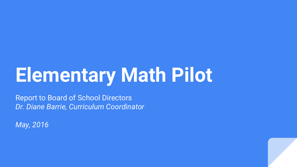# **Elementary Math Pilot**

Report to Board of School Directors *Dr. Diane Barrie, Curriculum Coordinator*

*May, 2016*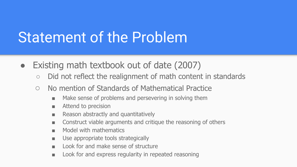## Statement of the Problem

- Existing math textbook out of date (2007)
	- Did not reflect the realignment of math content in standards
	- No mention of Standards of Mathematical Practice
		- Make sense of problems and persevering in solving them
		- Attend to precision
		- Reason abstractly and quantitatively
		- Construct viable arguments and critique the reasoning of others
		- Model with mathematics
		- Use appropriate tools strategically
		- Look for and make sense of structure
		- Look for and express regularity in repeated reasoning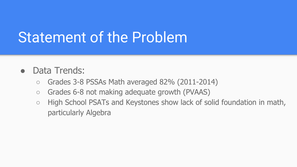### Statement of the Problem

#### • Data Trends:

- $\circ$  Grades 3-8 PSSAs Math averaged 82% (2011-2014)
- Grades 6-8 not making adequate growth (PVAAS)
- High School PSATs and Keystones show lack of solid foundation in math, particularly Algebra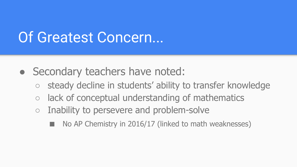#### Of Greatest Concern...

- Secondary teachers have noted:
	- steady decline in students' ability to transfer knowledge
	- $\circ$  lack of conceptual understanding of mathematics
	- Inability to persevere and problem-solve
		- No AP Chemistry in 2016/17 (linked to math weaknesses)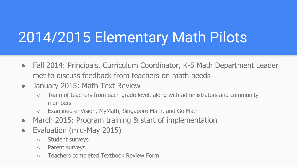## 2014/2015 Elementary Math Pilots

- Fall 2014: Principals, Curriculum Coordinator, K-5 Math Department Leader met to discuss feedback from teachers on math needs
- January 2015: Math Text Review
	- Team of teachers from each grade level, along with administrators and community members
	- Examined enVision, MyMath, Singapore Math, and Go Math
- March 2015: Program training & start of implementation
- Evaluation (mid-May 2015)
	- Student surveys
	- Parent surveys
	- Teachers completed Textbook Review Form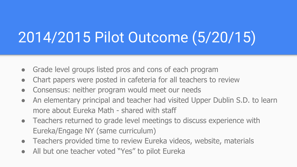# 2014/2015 Pilot Outcome (5/20/15)

- Grade level groups listed pros and cons of each program
- Chart papers were posted in cafeteria for all teachers to review
- Consensus: neither program would meet our needs
- An elementary principal and teacher had visited Upper Dublin S.D. to learn more about Eureka Math - shared with staff
- Teachers returned to grade level meetings to discuss experience with Eureka/Engage NY (same curriculum)
- Teachers provided time to review Eureka videos, website, materials
- All but one teacher voted "Yes" to pilot Eureka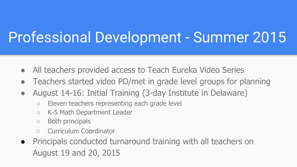## Professional Development - Summer 2015

- All teachers provided access to Teach Eureka Video Series
- Teachers started video PD/met in grade level groups for planning
- August 14-16: Initial Training (3-day Institute in Delaware)
	- Eleven teachers representing each grade level
	- K-5 Math Department Leader
	- Both principals
	- Curriculum Coordinator
- Principals conducted turnaround training with all teachers on August 19 and 20, 2015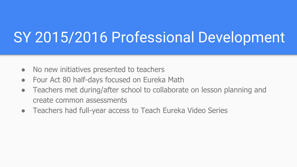### SY 2015/2016 Professional Development

- No new initiatives presented to teachers
- Four Act 80 half-days focused on Eureka Math
- Teachers met during/after school to collaborate on lesson planning and create common assessments
- Teachers had full-year access to Teach Eureka Video Series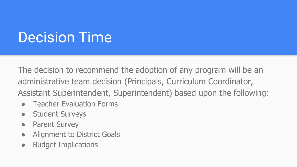### Decision Time

The decision to recommend the adoption of any program will be an administrative team decision (Principals, Curriculum Coordinator, Assistant Superintendent, Superintendent) based upon the following:

- **Teacher Evaluation Forms**
- Student Surveys
- Parent Survey
- Alignment to District Goals
- Budget Implications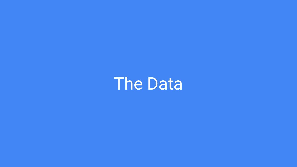**The Data**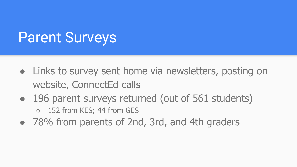#### Parent Surveys

- Links to survey sent home via newsletters, posting on website, ConnectEd calls
- 196 parent surveys returned (out of 561 students) ○ 152 from KES; 44 from GES
- 78% from parents of 2nd, 3rd, and 4th graders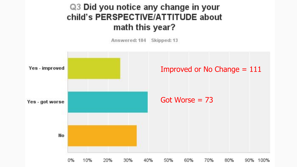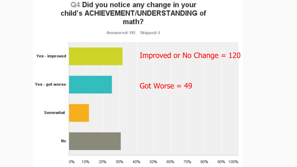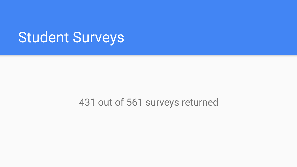#### Student Surveys

#### 431 out of 561 surveys returned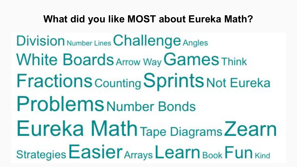#### **What did you like MOST about Eureka Math?**

Division Number Lines Challenge Angles **White Boards Arrow Way Games Think Fractions Counting Sprints Not Eureka Problems Number Bonds** Eureka Math Tape Diagrams Zearn Strategies Easier Arrays Learn Book Fun Kind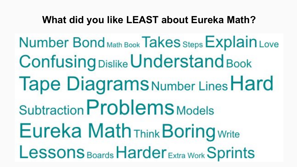#### **What did you like LEAST about Eureka Math?**

Number Bond Math Book Takes Steps Explain Love **Confusing Dislike Understand Book Tape Diagrams Number Lines Hard** Subtraction Problems Models **Eureka Math Think Boring Write** Lessons Boards Harder Extra Work Sprints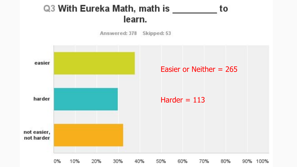#### Q3 With Eureka Math, math is \_\_ to learn.

Skipped: 53

Answered: 378



10% 20% 30% 60% 70% 80% 0% 40% 50% 90% 100%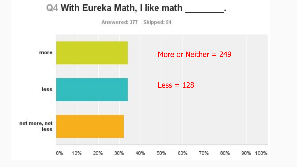#### Q4 With Eureka Math, I like math \_

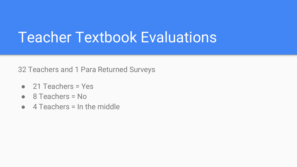#### Teacher Textbook Evaluations

32 Teachers and 1 Para Returned Surveys

- 21 Teachers = Yes
- $\bullet$  8 Teachers = No
- $\bullet$  4 Teachers = In the middle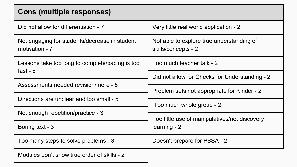| <b>Cons (multiple responses)</b>                                               |                                                                  |
|--------------------------------------------------------------------------------|------------------------------------------------------------------|
| Did not allow for differentiation - 7                                          | Very little real world application - 2                           |
| Not engaging for students/decrease in student<br>motivation - 7                | Not able to explore true understanding of<br>skills/concepts - 2 |
| Lessons take too long to complete/pacing is too<br>fast - $6$                  | Too much teacher talk - 2                                        |
|                                                                                | Did not allow for Checks for Understanding - 2                   |
| Assessments needed revision/more - 6                                           | Problem sets not appropriate for Kinder - 2                      |
| Directions are unclear and too small - 5<br>Not enough repetition/practice - 3 |                                                                  |
|                                                                                | Too much whole group - 2                                         |
|                                                                                | Too little use of manipulatives/not discovery                    |
| Boring text - 3                                                                | learning - 2                                                     |
| Too many steps to solve problems - 3                                           | Doesn't prepare for PSSA - 2                                     |
| Modules don't show true order of skills - 2                                    |                                                                  |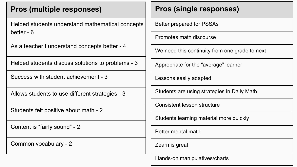| <b>Pros (multiple responses)</b>                               | <b>Pros (single responses)</b>                 |
|----------------------------------------------------------------|------------------------------------------------|
| Helped students understand mathematical concepts<br>better - 6 | Better prepared for PSSAs                      |
|                                                                | Promotes math discourse                        |
| As a teacher I understand concepts better - 4                  | We need this continuity from one grade to next |
| Helped students discuss solutions to problems - 3              | Appropriate for the "average" learner          |
| Success with student achievement - 3                           | Lessons easily adapted                         |
| Allows students to use different strategies - 3                | Students are using strategies in Daily Math    |
| Students felt positive about math - 2                          | <b>Consistent lesson structure</b>             |
|                                                                | Students learning material more quickly        |
| Content is "fairly sound" - 2                                  | Better mental math                             |
| Common vocabulary - 2                                          | Zearn is great                                 |
|                                                                | Hands-on manipulatives/charts                  |